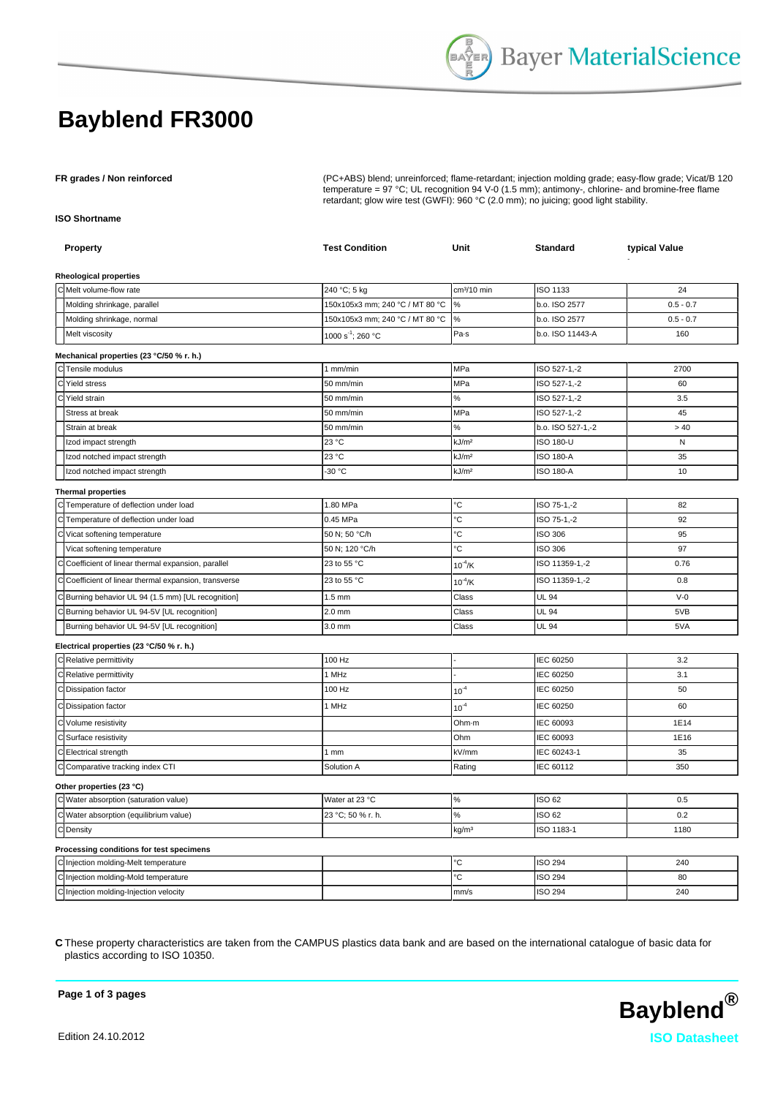## **Bayblend FR3000**

**FR grades / Non reinforced** (PC+ABS) blend; unreinforced; flame-retardant; injection molding grade; easy-flow grade; Vicat/B 120 temperature = 97 °C; UL recognition 94 V-0 (1.5 mm); antimony-, chlorine- and bromine-free flame retardant; glow wire test (GWFI): 960 °C (2.0 mm); no juicing; good light stability.

**ISO Shortname**

| Property                                              | <b>Test Condition</b>           | Unit                    | <b>Standard</b>   | typical Value |
|-------------------------------------------------------|---------------------------------|-------------------------|-------------------|---------------|
| <b>Rheological properties</b>                         |                                 |                         |                   |               |
| C Melt volume-flow rate                               | 240 °C; 5 kg                    | cm <sup>3</sup> /10 min | ISO 1133          | 24            |
| Molding shrinkage, parallel                           | 150x105x3 mm; 240 °C / MT 80 °C | %                       | b.o. ISO 2577     | $0.5 - 0.7$   |
| Molding shrinkage, normal                             | 150x105x3 mm; 240 °C / MT 80 °C | ℅                       | b.o. ISO 2577     | $0.5 - 0.7$   |
| Melt viscosity                                        | 1000 s <sup>-1</sup> ; 260 °C   | Pa-s                    | b.o. ISO 11443-A  | 160           |
| Mechanical properties (23 °C/50 % r. h.)              |                                 |                         |                   |               |
| C Tensile modulus                                     | $1$ mm/min                      | MPa                     | ISO 527-1,-2      | 2700          |
| C<br><b>Yield stress</b>                              | 50 mm/min                       | MPa                     | ISO 527-1,-2      | 60            |
| C Yield strain                                        | 50 mm/min                       | ℅                       | ISO 527-1,-2      | 3.5           |
| Stress at break                                       | 50 mm/min                       | MPa                     | ISO 527-1,-2      | 45            |
| Strain at break                                       | 50 mm/min                       | %                       | b.o. ISO 527-1,-2 | > 40          |
| Izod impact strength                                  | 23 °C                           | kJ/m <sup>2</sup>       | <b>ISO 180-U</b>  | N             |
| Izod notched impact strength                          | 23 °C                           | kJ/m <sup>2</sup>       | <b>ISO 180-A</b>  | 35            |
| Izod notched impact strength                          | -30 °C                          | kJ/m <sup>2</sup>       | <b>ISO 180-A</b>  | 10            |
| <b>Thermal properties</b>                             |                                 |                         |                   |               |
| C Temperature of deflection under load                | 1.80 MPa                        | °С                      | ISO 75-1,-2       | 82            |
| C Temperature of deflection under load                | 0.45 MPa                        | ۰C                      | ISO 75-1,-2       | 92            |
| Vicat softening temperature<br>С                      | 50 N; 50 °C/h                   | ۴С                      | ISO 306           | 95            |
| Vicat softening temperature                           | 50 N; 120 °C/h                  | Ĉ                       | <b>ISO 306</b>    | 97            |
| C Coefficient of linear thermal expansion, parallel   | 23 to 55 °C                     | $10^{-4}$ /K            | ISO 11359-1,-2    | 0.76          |
| C Coefficient of linear thermal expansion, transverse | 23 to 55 °C                     | $10^{4}$ /K             | ISO 11359-1,-2    | 0.8           |
| C Burning behavior UL 94 (1.5 mm) [UL recognition]    | $1.5$ mm                        | Class                   | <b>UL 94</b>      | $V-0$         |
| C Burning behavior UL 94-5V [UL recognition]          | $2.0$ mm                        | Class                   | <b>UL 94</b>      | 5VB           |
| Burning behavior UL 94-5V [UL recognition]            | 3.0 mm                          | Class                   | <b>UL 94</b>      | 5VA           |
| Electrical properties (23 °C/50 % r. h.)              |                                 |                         |                   |               |
| C Relative permittivity                               | 100 Hz                          |                         | IEC 60250         | 3.2           |
| C Relative permittivity                               | 1 MHz                           |                         | IEC 60250         | 3.1           |
| C Dissipation factor                                  | 100 Hz                          | $10^{-4}$               | IEC 60250         | 50            |
| C Dissipation factor                                  | 1 MHz                           | $10^{-4}$               | IEC 60250         | 60            |
| C Volume resistivity                                  |                                 | Ohm-m                   | IEC 60093         | 1E14          |
| C Surface resistivity                                 |                                 | Ohm                     | IEC 60093         | 1E16          |
| C Electrical strength                                 | 1 <sub>mm</sub>                 | kV/mm                   | IEC 60243-1       | 35            |
| C Comparative tracking index CTI                      | Solution A                      | Rating                  | IEC 60112         | 350           |
| Other properties (23 °C)                              |                                 |                         |                   |               |
| C Water absorption (saturation value)                 | Water at 23 °C                  | $\%$                    | ISO 62            | 0.5           |
| C Water absorption (equilibrium value)                | 23 °C; 50 % r. h.               | %                       | ISO 62            | 0.2           |
| C Density                                             |                                 | kg/m <sup>3</sup>       | ISO 1183-1        | 1180          |
| Processing conditions for test specimens              |                                 |                         |                   |               |
| C Injection molding-Melt temperature                  |                                 | Č                       | <b>ISO 294</b>    | 240           |
| C Injection molding-Mold temperature                  |                                 | Ċ                       | <b>ISO 294</b>    | 80            |
| C Injection molding-Injection velocity                |                                 | mm/s                    | <b>ISO 294</b>    | 240           |

**C** These property characteristics are taken from the CAMPUS plastics data bank and are based on the international catalogue of basic data for plastics according to ISO 10350.



**Page 1 of 3 pages**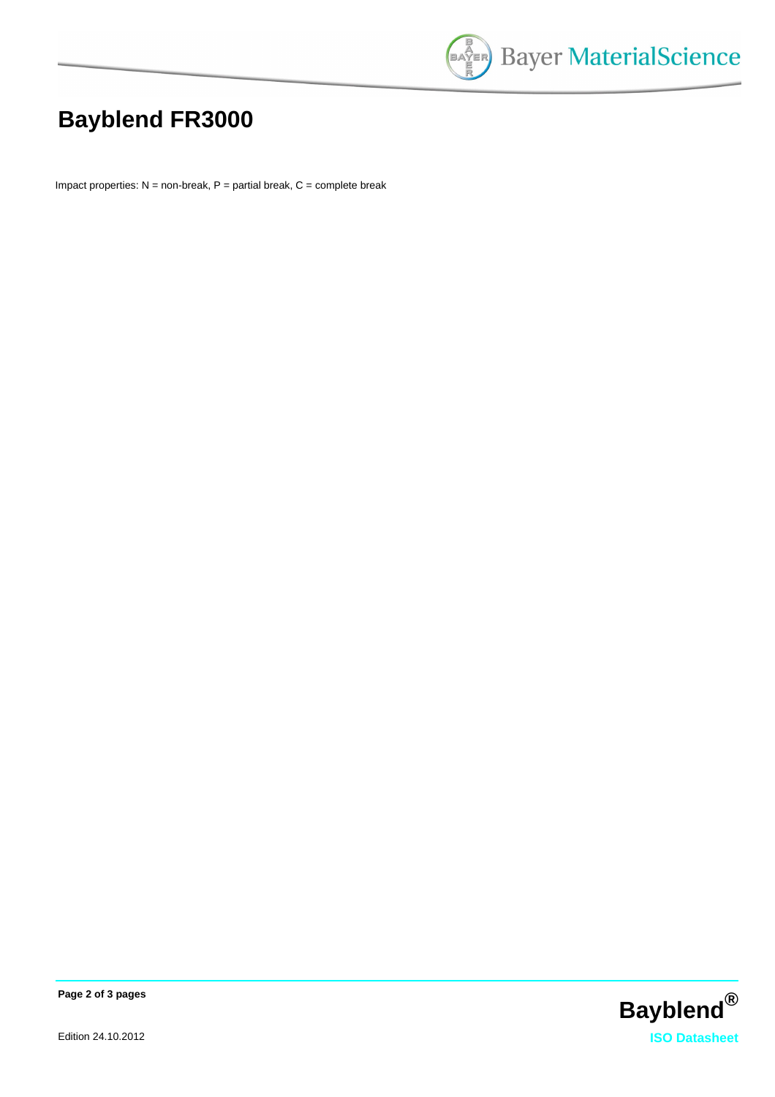

# **Bayblend FR3000**

Impact properties:  $N =$  non-break,  $P =$  partial break,  $C =$  complete break



**Page 2 of 3 pages**